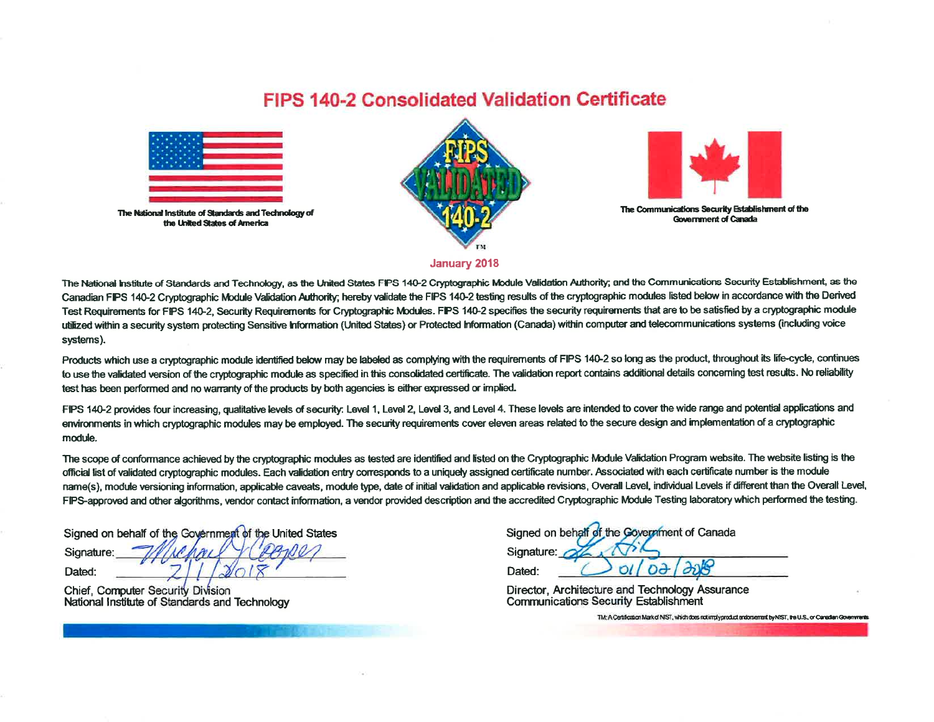## **FIPS 140-2 Consolidated Validation Certificate**



The National Institute of Standards and Technology of the United States of America





The Communications Security Establishment of the **Government of Canada** 

**January 2018** 

The National Institute of Standards and Technology, as the United States FIPS 140-2 Cryptographic Module Validation Authority; and the Communications Security Establishment, as the Canadian FIPS 140-2 Cryptographic Module Validation Authority; hereby validate the FIPS 140-2 testing results of the cryptographic modules listed below in accordance with the Derived Test Requirements for FIPS 140-2, Security Requirements for Cryptographic Modules. FIPS 140-2 specifies the security requirements that are to be satisfied by a cryptographic module utilized within a security system protecting Sensitive Information (United States) or Protected Information (Canada) within computer and telecommunications systems (including voice systems).

Products which use a cryptographic module identified below may be labeled as complying with the requirements of FIPS 140-2 so long as the product, throughout its life-cycle, continues to use the validated version of the cryptographic module as specified in this consolidated certificate. The validation report contains additional details concerning test results. No reliability test has been performed and no warranty of the products by both agencies is either expressed or implied.

FIPS 140-2 provides four increasing, qualitative levels of security. Level 1, Level 2, Level 3, and Level 4. These levels are intended to cover the wide range and potential applications and environments in which cryptographic modules may be employed. The security requirements cover eleven areas related to the secure design and implementation of a cryptographic module.

The scope of conformance achieved by the cryptographic modules as tested are identified and listed on the Cryptographic Module Validation Program website. The website listing is the official list of validated cryptographic modules. Each validation entry corresponds to a uniquely assigned certificate number. Associated with each certificate number is the module name(s), module versioning information, applicable caveats, module type, date of initial validation and applicable revisions, Overall Level, individual Levels if different than the Overall Level, FIPS-approved and other algorithms, vendor contact information, a vendor provided description and the accredited Cryptographic Module Testing laboratory which performed the testing.

Signed on behalf of the Government of the United States Signature:

Dated:

**Chief, Computer Security Division** National Institute of Standards and Technology

| Signed on behalf of the Government of Canada |        |  |  |  |  |  |  |
|----------------------------------------------|--------|--|--|--|--|--|--|
| Signature: 04                                |        |  |  |  |  |  |  |
| Dated:                                       | N/DA/4 |  |  |  |  |  |  |

Director, Architecture and Technology Assurance **Communications Security Establishment** 

TM: A Certification Market NIST, which does not imply product endorsement by NIST, the U.S., or Canadian Governments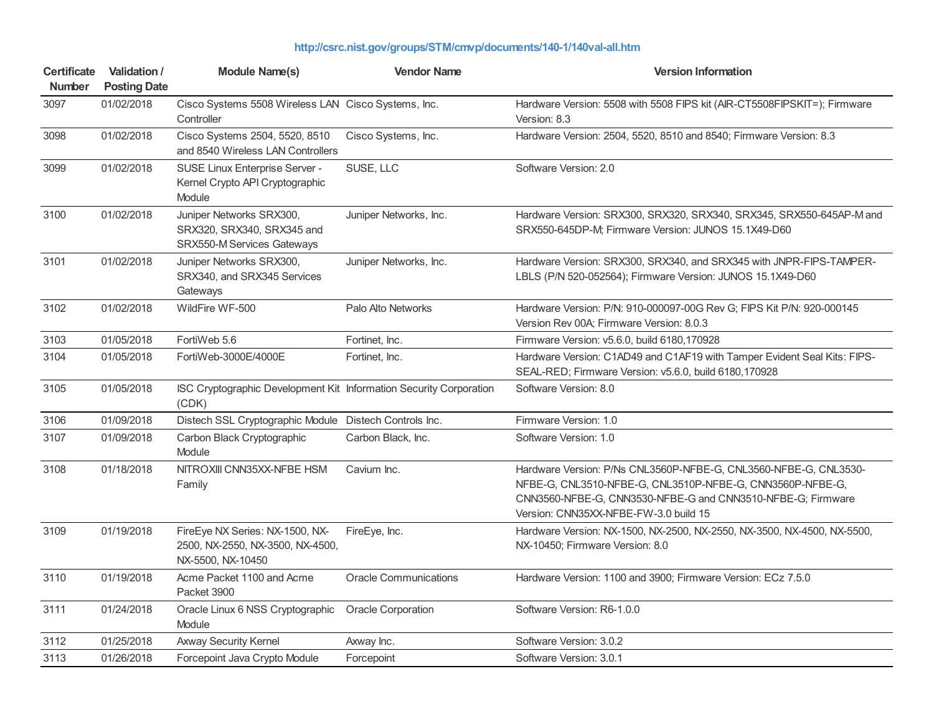| <b>Certificate</b><br><b>Number</b> | Validation /<br><b>Posting Date</b> | <b>Module Name(s)</b>                                                                    | <b>Vendor Name</b>           | <b>Version Information</b>                                                                                                                                                                                                            |
|-------------------------------------|-------------------------------------|------------------------------------------------------------------------------------------|------------------------------|---------------------------------------------------------------------------------------------------------------------------------------------------------------------------------------------------------------------------------------|
| 3097                                | 01/02/2018                          | Cisco Systems 5508 Wireless LAN Cisco Systems, Inc.<br>Controller                        |                              | Hardware Version: 5508 with 5508 FIPS kit (AIR-CT5508FIPSKIT=); Firmware<br>Version: 8.3                                                                                                                                              |
| 3098                                | 01/02/2018                          | Cisco Systems 2504, 5520, 8510<br>and 8540 Wireless LAN Controllers                      | Cisco Systems, Inc.          | Hardware Version: 2504, 5520, 8510 and 8540; Firmware Version: 8.3                                                                                                                                                                    |
| 3099                                | 01/02/2018                          | SUSE Linux Enterprise Server -<br>Kernel Crypto API Cryptographic<br>Module              | SUSE, LLC                    | Software Version: 2.0                                                                                                                                                                                                                 |
| 3100                                | 01/02/2018                          | Juniper Networks SRX300,<br>SRX320, SRX340, SRX345 and<br>SRX550-M Services Gateways     | Juniper Networks, Inc.       | Hardware Version: SRX300, SRX320, SRX340, SRX345, SRX550-645AP-M and<br>SRX550-645DP-M; Firmware Version: JUNOS 15.1X49-D60                                                                                                           |
| 3101                                | 01/02/2018                          | Juniper Networks SRX300,<br>SRX340, and SRX345 Services<br>Gateways                      | Juniper Networks, Inc.       | Hardware Version: SRX300, SRX340, and SRX345 with JNPR-FIPS-TAMPER-<br>LBLS (P/N 520-052564); Firmware Version: JUNOS 15.1X49-D60                                                                                                     |
| 3102                                | 01/02/2018                          | WildFire WF-500                                                                          | Palo Alto Networks           | Hardware Version: P/N: 910-000097-00G Rev G; FIPS Kit P/N: 920-000145<br>Version Rev 00A; Firmware Version: 8.0.3                                                                                                                     |
| 3103                                | 01/05/2018                          | FortiWeb 5.6                                                                             | Fortinet, Inc.               | Firmware Version: v5.6.0, build 6180,170928                                                                                                                                                                                           |
| 3104                                | 01/05/2018                          | FortiWeb-3000E/4000E                                                                     | Fortinet, Inc.               | Hardware Version: C1AD49 and C1AF19 with Tamper Evident Seal Kits: FIPS-<br>SEAL-RED; Firmware Version: v5.6.0, build 6180,170928                                                                                                     |
| 3105                                | 01/05/2018                          | ISC Cryptographic Development Kit Information Security Corporation<br>(CDK)              |                              | Software Version: 8.0                                                                                                                                                                                                                 |
| 3106                                | 01/09/2018                          | Distech SSL Cryptographic Module Distech Controls Inc.                                   |                              | Firmware Version: 1.0                                                                                                                                                                                                                 |
| 3107                                | 01/09/2018                          | Carbon Black Cryptographic<br>Module                                                     | Carbon Black, Inc.           | Software Version: 1.0                                                                                                                                                                                                                 |
| 3108                                | 01/18/2018                          | NITROXIII CNN35XX-NFBE HSM<br>Family                                                     | Cavium Inc.                  | Hardware Version: P/Ns CNL3560P-NFBE-G, CNL3560-NFBE-G, CNL3530-<br>NFBE-G, CNL3510-NFBE-G, CNL3510P-NFBE-G, CNN3560P-NFBE-G,<br>CNN3560-NFBE-G, CNN3530-NFBE-G and CNN3510-NFBE-G; Firmware<br>Version: CNN35XX-NFBE-FW-3.0 build 15 |
| 3109                                | 01/19/2018                          | FireEye NX Series: NX-1500, NX-<br>2500, NX-2550, NX-3500, NX-4500,<br>NX-5500, NX-10450 | FireEye, Inc.                | Hardware Version: NX-1500, NX-2500, NX-2550, NX-3500, NX-4500, NX-5500,<br>NX-10450; Firmware Version: 8.0                                                                                                                            |
| 3110                                | 01/19/2018                          | Acme Packet 1100 and Acme<br>Packet 3900                                                 | <b>Oracle Communications</b> | Hardware Version: 1100 and 3900; Firmware Version: ECz 7.5.0                                                                                                                                                                          |
| 3111                                | 01/24/2018                          | Oracle Linux 6 NSS Cryptographic<br>Module                                               | <b>Oracle Corporation</b>    | Software Version: R6-1.0.0                                                                                                                                                                                                            |
| 3112                                | 01/25/2018                          | Axway Security Kernel                                                                    | Axway Inc.                   | Software Version: 3.0.2                                                                                                                                                                                                               |
| 3113                                | 01/26/2018                          | Forcepoint Java Crypto Module                                                            | Forcepoint                   | Software Version: 3.0.1                                                                                                                                                                                                               |

## **<http://csrc.nist.gov/groups/STM/cmvp/documents/140-1/140val-all.htm>**